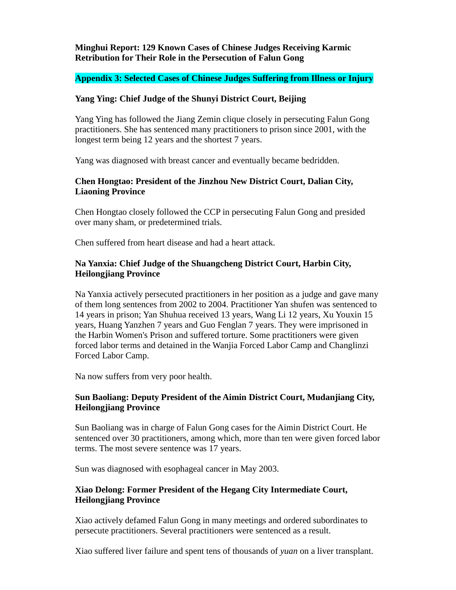## **Minghui Report: 129 Known Cases of Chinese Judges Receiving Karmic Retribution for Their Role in the Persecution of Falun Gong**

## **Appendix 3: Selected Cases of Chinese Judges Suffering from Illness or Injury**

#### **Yang Ying: Chief Judge of the Shunyi District Court, Beijing**

Yang Ying has followed the Jiang Zemin clique closely in persecuting Falun Gong practitioners. She has sentenced many practitioners to prison since 2001, with the longest term being 12 years and the shortest 7 years.

Yang was diagnosed with breast cancer and eventually became bedridden.

### **Chen Hongtao: President of the Jinzhou New District Court, Dalian City, Liaoning Province**

Chen Hongtao closely followed the CCP in persecuting Falun Gong and presided over many sham, or predetermined trials.

Chen suffered from heart disease and had a heart attack.

#### **Na Yanxia: Chief Judge of the Shuangcheng District Court, Harbin City, Heilongjiang Province**

Na Yanxia actively persecuted practitioners in her position as a judge and gave many of them long sentences from 2002 to 2004. Practitioner Yan shufen was sentenced to 14 years in prison; Yan Shuhua received 13 years, Wang Li 12 years, Xu Youxin 15 years, Huang Yanzhen 7 years and Guo Fenglan 7 years. They were imprisoned in the Harbin Women's Prison and suffered torture. Some practitioners were given forced labor terms and detained in the Wanjia Forced Labor Camp and Changlinzi Forced Labor Camp.

Na now suffers from very poor health.

## **Sun Baoliang: Deputy President of the Aimin District Court, Mudanjiang City, Heilongjiang Province**

Sun Baoliang was in charge of Falun Gong cases for the Aimin District Court. He sentenced over 30 practitioners, among which, more than ten were given forced labor terms. The most severe sentence was 17 years.

Sun was diagnosed with esophageal cancer in May 2003.

## **Xiao Delong: Former President of the Hegang City Intermediate Court, Heilongjiang Province**

Xiao actively defamed Falun Gong in many meetings and ordered subordinates to persecute practitioners. Several practitioners were sentenced as a result.

Xiao suffered liver failure and spent tens of thousands of *yuan* on a liver transplant.